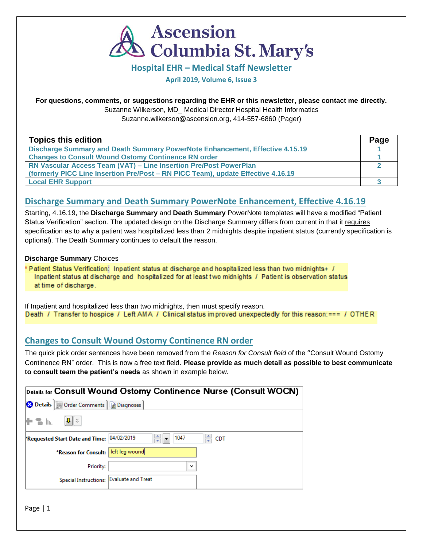

**Hospital EHR – Medical Staff Newsletter**

**April 2019, Volume 6, Issue 3**

### **For questions, comments, or suggestions regarding the EHR or this newsletter, please contact me directly.**

Suzanne Wilkerson, MD\_ Medical Director Hospital Health Informatics

Suzanne.wilkerson@ascension.org, 414-557-6860 (Pager)

| <b>Topics this edition</b>                                                       | Page |
|----------------------------------------------------------------------------------|------|
| Discharge Summary and Death Summary PowerNote Enhancement, Effective 4.15.19     |      |
| <b>Changes to Consult Wound Ostomy Continence RN order</b>                       |      |
| <b>RN Vascular Access Team (VAT) – Line Insertion Pre/Post PowerPlan</b>         |      |
| (formerly PICC Line Insertion Pre/Post – RN PICC Team), update Effective 4.16.19 |      |
| <b>Local EHR Support</b>                                                         |      |

## **Discharge Summary and Death Summary PowerNote Enhancement, Effective 4.16.19**

Starting, 4.16.19, the **Discharge Summary** and **Death Summary** PowerNote templates will have a modified "Patient Status Verification" section. The updated design on the Discharge Summary differs from current in that it requires specification as to why a patient was hospitalized less than 2 midnights despite inpatient status (currently specification is optional). The Death Summary continues to default the reason.

## **Discharge Summary** Choices

Patient Status Verification: Inpatient status at discharge and hospitalized less than two midnights+ / Inpatient status at discharge and hospitalized for at least two midnights / Patient is observation status at time of discharge.

If Inpatient and hospitalized less than two midnights, then must specify reason. Death / Transfer to hospice / Left AMA / Clinical status improved unexpectedly for this reason: === / OTHER

## **Changes to Consult Wound Ostomy Continence RN order**

The quick pick order sentences have been removed from the *Reason for Consult field* of the "Consult Wound Ostomy Continence RN" order. This is now a free text field. **Please provide as much detail as possible to best communicate to consult team the patient's needs** as shown in example below.

|                                           |                               |              | Details for Consult Wound Ostomy Continence Nurse (Consult WOCN) |
|-------------------------------------------|-------------------------------|--------------|------------------------------------------------------------------|
| Details   Details   Diagnoses             |                               |              |                                                                  |
| J I ⊻<br>To In.                           |                               |              |                                                                  |
| Requested Start Date and Time: 04/02/2019 | ≑<br>$\overline{\phantom{a}}$ | 1047         | ≑ CDT                                                            |
| *Reason for Consult:   left leg wound     |                               |              |                                                                  |
| Priority:                                 |                               | $\checkmark$ |                                                                  |
| Special Instructions: Evaluate and Treat  |                               |              |                                                                  |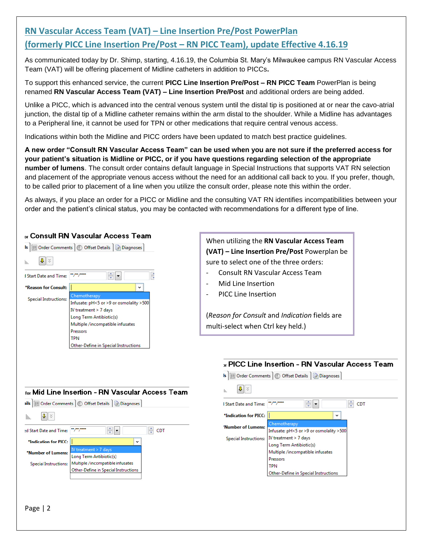# **RN Vascular Access Team (VAT) – Line Insertion Pre/Post PowerPlan (formerly PICC Line Insertion Pre/Post – RN PICC Team), update Effective 4.16.19**

As communicated today by Dr. Shimp, starting, 4.16.19, the Columbia St. Mary's Milwaukee campus RN Vascular Access Team (VAT) will be offering placement of Midline catheters in addition to PICCs**.** 

To support this enhanced service, the current **PICC Line Insertion Pre/Post – RN PICC Team** PowerPlan is being renamed **RN Vascular Access Team (VAT) – Line Insertion Pre/Post** and additional orders are being added.

Unlike a PICC, which is advanced into the central venous system until the distal tip is positioned at or near the cavo-atrial junction, the distal tip of a Midline catheter remains within the arm distal to the shoulder. While a Midline has advantages to a Peripheral line, it cannot be used for TPN or other medications that require central venous access.

Indications within both the Midline and PICC orders have been updated to match best practice guidelines.

**A new order "Consult RN Vascular Access Team" can be used when you are not sure if the preferred access for your patient's situation is Midline or PICC, or if you have questions regarding selection of the appropriate number of lumens**. The consult order contains default language in Special Instructions that supports VAT RN selection and placement of the appropriate venous access without the need for an additional call back to you. If you prefer, though, to be called prior to placement of a line when you utilize the consult order, please note this within the order.

As always, if you place an order for a PICC or Midline and the consulting VAT RN identifies incompatibilities between your order and the patient's clinical status, you may be contacted with recommendations for a different type of line.

#### a Consult RN Vascular Access Team

|                                      | Is   Diagnoses   Offset Details   a Diagnoses |  |
|--------------------------------------|-----------------------------------------------|--|
| h.                                   |                                               |  |
| <b>Start Date and Time:</b>          |                                               |  |
| *Reason for Consult:                 | v                                             |  |
| <b>Special Instructions:</b>         | Chemotherapy                                  |  |
|                                      | Infusate: pH<5 or >9 or osmolality >500       |  |
|                                      | IV treatment > 7 days                         |  |
|                                      | Long Term Antibiotic(s)                       |  |
|                                      | Multiple /incompatible infusates              |  |
|                                      | <b>Pressors</b>                               |  |
|                                      | TPN                                           |  |
| Other-Define in Special Instructions |                                               |  |

When utilizing the **RN Vascular Access Team (VAT) – Line Insertion Pre/Post** Powerplan be sure to select one of the three orders:

- Consult RN Vascular Access Team
- Mid Line Insertion
- PICC Line Insertion

(*Reason for Consult* and *Indication* fields are multi-select when Ctrl key held.)

Is | Diagnoses | (2) Offset Details | a Diagnoses

#### » PICC Line Insertion - RN Vascular Access Team

|                              | <sub>for</sub> Mid Line Insertion - RN Vascular Access Team |  |
|------------------------------|-------------------------------------------------------------|--|
|                              | ails   in Order Comments   © Offset Details   @ Diagnoses   |  |
| llı.                         |                                                             |  |
| ed Start Date and Time:      | ÷.<br><b>CDT</b><br>÷                                       |  |
| *Indication for PICC:        | v                                                           |  |
| *Number of Lumens:           | IV treatment $> 7$ days<br>Long Term Antibiotic(s)          |  |
| <b>Special Instructions:</b> | Multiple/incompatible infusates                             |  |
|                              | Other-Define in Special Instructions                        |  |

| h.                           |                                                                                                  |
|------------------------------|--------------------------------------------------------------------------------------------------|
| <b>Start Date and Time:</b>  | <b>CDT</b>                                                                                       |
| *Indication for PICC:        | $\check{ }$                                                                                      |
| 'Number of Lumens:           | Chemotherapy<br>Infusate: pH<5 or >9 or osmolality >500                                          |
| <b>Special Instructions:</b> | IV treatment > 7 days<br>Long Term Antibiotic(s)<br>Multiple /incompatible infusates<br>Pressors |
|                              | <b>TPN</b><br>Other-Define in Special Instructions                                               |